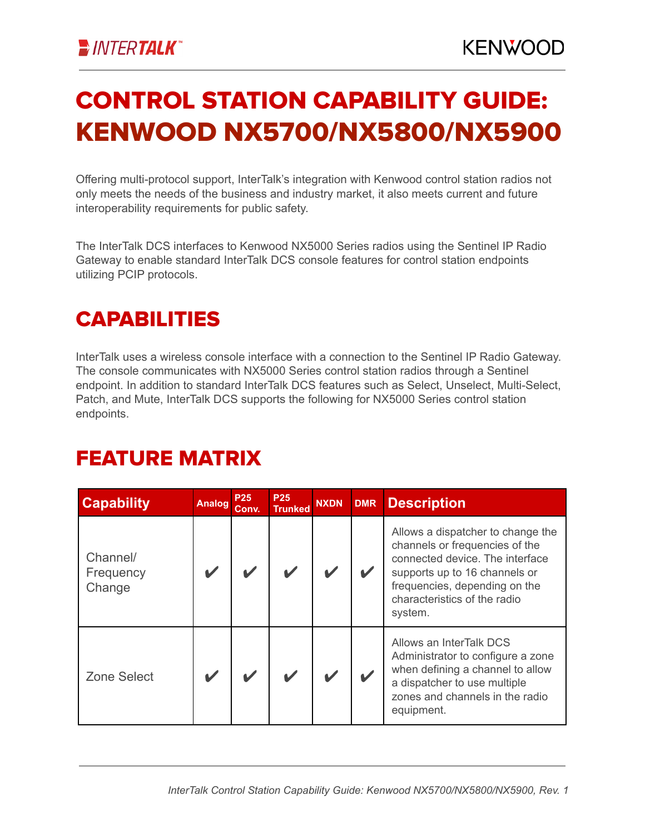# CONTROL STATION CAPABILITY GUIDE: KENWOOD NX5700/NX5800/NX5900

Offering multi-protocol support, InterTalk's integration with Kenwood control station radios not only meets the needs of the business and industry market, it also meets current and future interoperability requirements for public safety.

The InterTalk DCS interfaces to Kenwood NX5000 Series radios using the Sentinel IP Radio Gateway to enable standard InterTalk DCS console features for control station endpoints utilizing PCIP protocols.

### **CAPABILITIES**

InterTalk uses a wireless console interface with a connection to the Sentinel IP Radio Gateway. The console communicates with NX5000 Series control station radios through a Sentinel endpoint. In addition to standard InterTalk DCS features such as Select, Unselect, Multi-Select, Patch, and Mute, InterTalk DCS supports the following for NX5000 Series control station endpoints.

#### FEATURE MATRIX

| <b>Capability</b>               | <b>Analog</b> | <b>P25</b><br>Conv. | <b>P25</b><br><b>Trunked</b> | <b>NXDN</b> | <b>DMR</b> | <b>Description</b>                                                                                                                                                                                                  |
|---------------------------------|---------------|---------------------|------------------------------|-------------|------------|---------------------------------------------------------------------------------------------------------------------------------------------------------------------------------------------------------------------|
| Channel/<br>Frequency<br>Change |               |                     |                              |             |            | Allows a dispatcher to change the<br>channels or frequencies of the<br>connected device. The interface<br>supports up to 16 channels or<br>frequencies, depending on the<br>characteristics of the radio<br>system. |
| <b>Zone Select</b>              |               |                     |                              |             |            | Allows an InterTalk DCS<br>Administrator to configure a zone<br>when defining a channel to allow<br>a dispatcher to use multiple<br>zones and channels in the radio<br>equipment.                                   |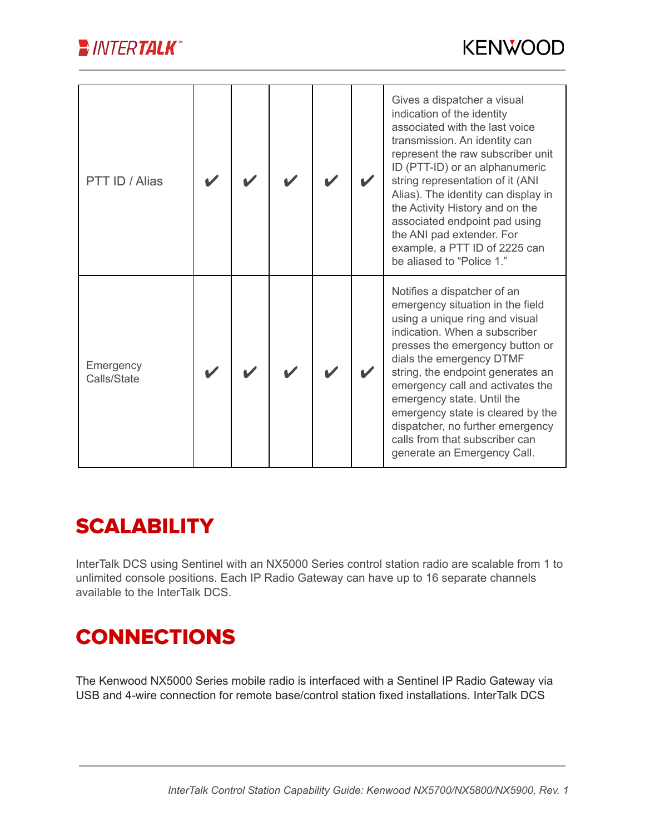

| PTT ID / Alias           |  |  | Gives a dispatcher a visual<br>indication of the identity<br>associated with the last voice<br>transmission. An identity can<br>represent the raw subscriber unit<br>ID (PTT-ID) or an alphanumeric<br>string representation of it (ANI<br>Alias). The identity can display in<br>the Activity History and on the<br>associated endpoint pad using<br>the ANI pad extender. For<br>example, a PTT ID of 2225 can<br>be aliased to "Police 1."      |
|--------------------------|--|--|----------------------------------------------------------------------------------------------------------------------------------------------------------------------------------------------------------------------------------------------------------------------------------------------------------------------------------------------------------------------------------------------------------------------------------------------------|
| Emergency<br>Calls/State |  |  | Notifies a dispatcher of an<br>emergency situation in the field<br>using a unique ring and visual<br>indication. When a subscriber<br>presses the emergency button or<br>dials the emergency DTMF<br>string, the endpoint generates an<br>emergency call and activates the<br>emergency state. Until the<br>emergency state is cleared by the<br>dispatcher, no further emergency<br>calls from that subscriber can<br>generate an Emergency Call. |

## **SCALABILITY**

InterTalk DCS using Sentinel with an NX5000 Series control station radio are scalable from 1 to unlimited console positions. Each IP Radio Gateway can have up to 16 separate channels available to the InterTalk DCS.

# **CONNECTIONS**

The Kenwood NX5000 Series mobile radio is interfaced with a Sentinel IP Radio Gateway via USB and 4-wire connection for remote base/control station fixed installations. InterTalk DCS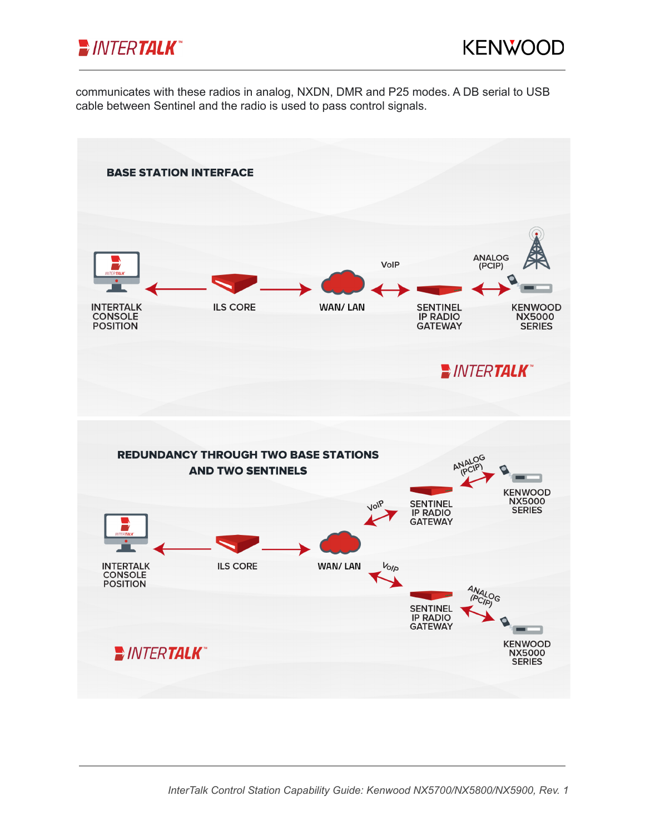

communicates with these radios in analog, NXDN, DMR and P25 modes. A DB serial to USB cable between Sentinel and the radio is used to pass control signals.